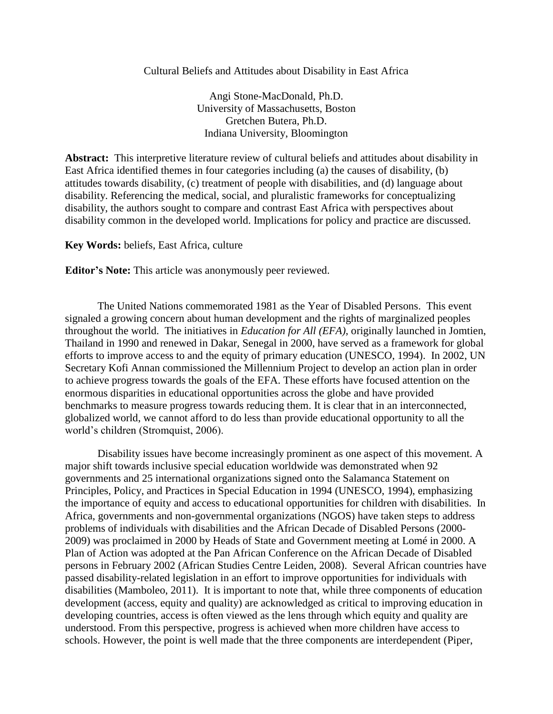# Cultural Beliefs and Attitudes about Disability in East Africa

Angi Stone-MacDonald, Ph.D. University of Massachusetts, Boston Gretchen Butera, Ph.D. Indiana University, Bloomington

**Abstract:** This interpretive literature review of cultural beliefs and attitudes about disability in East Africa identified themes in four categories including (a) the causes of disability, (b) attitudes towards disability, (c) treatment of people with disabilities, and (d) language about disability. Referencing the medical, social, and pluralistic frameworks for conceptualizing disability, the authors sought to compare and contrast East Africa with perspectives about disability common in the developed world. Implications for policy and practice are discussed.

# **Key Words:** beliefs, East Africa, culture

**Editor's Note:** This article was anonymously peer reviewed.

The United Nations commemorated 1981 as the Year of Disabled Persons. This event signaled a growing concern about human development and the rights of marginalized peoples throughout the world. The initiatives in *Education for All (EFA)*, originally launched in Jomtien, Thailand in 1990 and renewed in Dakar, Senegal in 2000, have served as a framework for global efforts to improve access to and the equity of primary education (UNESCO, 1994). In 2002, UN Secretary Kofi Annan commissioned the Millennium Project to develop an action plan in order to achieve progress towards the goals of the EFA. These efforts have focused attention on the enormous disparities in educational opportunities across the globe and have provided benchmarks to measure progress towards reducing them. It is clear that in an interconnected, globalized world, we cannot afford to do less than provide educational opportunity to all the world's children (Stromquist, 2006).

Disability issues have become increasingly prominent as one aspect of this movement. A major shift towards inclusive special education worldwide was demonstrated when 92 governments and 25 international organizations signed onto the Salamanca Statement on Principles, Policy, and Practices in Special Education in 1994 (UNESCO, 1994), emphasizing the importance of equity and access to educational opportunities for children with disabilities. In Africa, governments and non-governmental organizations (NGOS) have taken steps to address problems of individuals with disabilities and the African Decade of Disabled Persons (2000- 2009) was proclaimed in 2000 by Heads of State and Government meeting at Lomé in 2000. A Plan of Action was adopted at the Pan African Conference on the African Decade of Disabled persons in February 2002 (African Studies Centre Leiden, 2008). Several African countries have passed disability-related legislation in an effort to improve opportunities for individuals with disabilities (Mamboleo, 2011). It is important to note that, while three components of education development (access, equity and quality) are acknowledged as critical to improving education in developing countries, access is often viewed as the lens through which equity and quality are understood. From this perspective, progress is achieved when more children have access to schools. However, the point is well made that the three components are interdependent (Piper,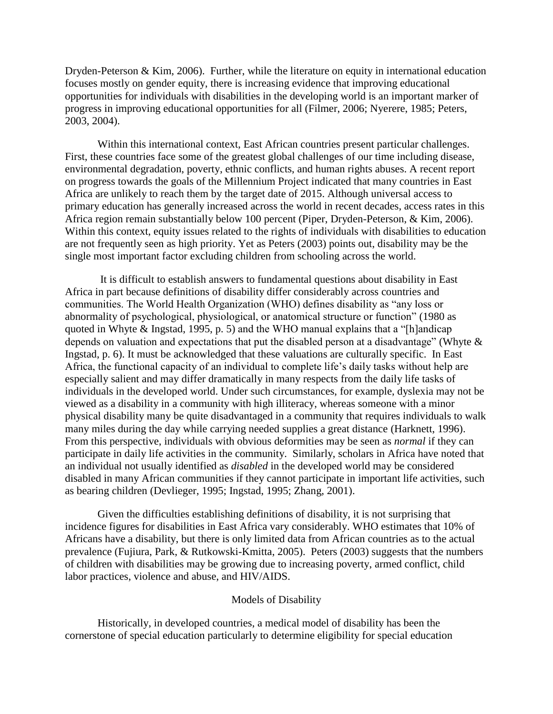Dryden-Peterson & Kim, 2006). Further, while the literature on equity in international education focuses mostly on gender equity, there is increasing evidence that improving educational opportunities for individuals with disabilities in the developing world is an important marker of progress in improving educational opportunities for all (Filmer, 2006; Nyerere, 1985; Peters, 2003, 2004).

Within this international context, East African countries present particular challenges. First, these countries face some of the greatest global challenges of our time including disease, environmental degradation, poverty, ethnic conflicts, and human rights abuses. A recent report on progress towards the goals of the Millennium Project indicated that many countries in East Africa are unlikely to reach them by the target date of 2015. Although universal access to primary education has generally increased across the world in recent decades, access rates in this Africa region remain substantially below 100 percent (Piper, Dryden-Peterson, & Kim, 2006). Within this context, equity issues related to the rights of individuals with disabilities to education are not frequently seen as high priority. Yet as Peters (2003) points out, disability may be the single most important factor excluding children from schooling across the world.

It is difficult to establish answers to fundamental questions about disability in East Africa in part because definitions of disability differ considerably across countries and communities. The World Health Organization (WHO) defines disability as "any loss or abnormality of psychological, physiological, or anatomical structure or function" (1980 as quoted in Whyte & Ingstad, 1995, p. 5) and the WHO manual explains that a "[h]andicap depends on valuation and expectations that put the disabled person at a disadvantage" (Whyte & Ingstad, p. 6). It must be acknowledged that these valuations are culturally specific. In East Africa, the functional capacity of an individual to complete life's daily tasks without help are especially salient and may differ dramatically in many respects from the daily life tasks of individuals in the developed world. Under such circumstances, for example, dyslexia may not be viewed as a disability in a community with high illiteracy, whereas someone with a minor physical disability many be quite disadvantaged in a community that requires individuals to walk many miles during the day while carrying needed supplies a great distance (Harknett, 1996). From this perspective, individuals with obvious deformities may be seen as *normal* if they can participate in daily life activities in the community. Similarly, scholars in Africa have noted that an individual not usually identified as *disabled* in the developed world may be considered disabled in many African communities if they cannot participate in important life activities, such as bearing children (Devlieger, 1995; Ingstad, 1995; Zhang, 2001).

Given the difficulties establishing definitions of disability, it is not surprising that incidence figures for disabilities in East Africa vary considerably. WHO estimates that 10% of Africans have a disability, but there is only limited data from African countries as to the actual prevalence (Fujiura, Park, & Rutkowski-Kmitta, 2005). Peters (2003) suggests that the numbers of children with disabilities may be growing due to increasing poverty, armed conflict, child labor practices, violence and abuse, and HIV/AIDS.

# Models of Disability

Historically, in developed countries, a medical model of disability has been the cornerstone of special education particularly to determine eligibility for special education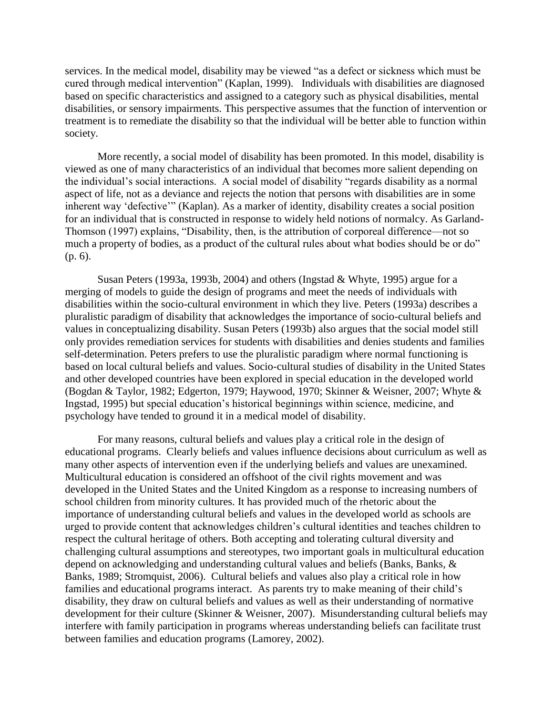services. In the medical model, disability may be viewed "as a defect or sickness which must be cured through medical intervention" (Kaplan, 1999). Individuals with disabilities are diagnosed based on specific characteristics and assigned to a category such as physical disabilities, mental disabilities, or sensory impairments. This perspective assumes that the function of intervention or treatment is to remediate the disability so that the individual will be better able to function within society.

More recently, a social model of disability has been promoted. In this model, disability is viewed as one of many characteristics of an individual that becomes more salient depending on the individual's social interactions. A social model of disability "regards disability as a normal aspect of life, not as a deviance and rejects the notion that persons with disabilities are in some inherent way 'defective'" (Kaplan). As a marker of identity, disability creates a social position for an individual that is constructed in response to widely held notions of normalcy. As Garland-Thomson (1997) explains, "Disability, then, is the attribution of corporeal difference—not so much a property of bodies, as a product of the cultural rules about what bodies should be or do" (p. 6).

Susan Peters (1993a, 1993b, 2004) and others (Ingstad & Whyte, 1995) argue for a merging of models to guide the design of programs and meet the needs of individuals with disabilities within the socio-cultural environment in which they live. Peters (1993a) describes a pluralistic paradigm of disability that acknowledges the importance of socio-cultural beliefs and values in conceptualizing disability. Susan Peters (1993b) also argues that the social model still only provides remediation services for students with disabilities and denies students and families self-determination. Peters prefers to use the pluralistic paradigm where normal functioning is based on local cultural beliefs and values. Socio-cultural studies of disability in the United States and other developed countries have been explored in special education in the developed world (Bogdan & Taylor, 1982; Edgerton, 1979; Haywood, 1970; Skinner & Weisner, 2007; Whyte & Ingstad, 1995) but special education's historical beginnings within science, medicine, and psychology have tended to ground it in a medical model of disability.

For many reasons, cultural beliefs and values play a critical role in the design of educational programs. Clearly beliefs and values influence decisions about curriculum as well as many other aspects of intervention even if the underlying beliefs and values are unexamined. Multicultural education is considered an offshoot of the civil rights movement and was developed in the United States and the United Kingdom as a response to increasing numbers of school children from minority cultures. It has provided much of the rhetoric about the importance of understanding cultural beliefs and values in the developed world as schools are urged to provide content that acknowledges children's cultural identities and teaches children to respect the cultural heritage of others. Both accepting and tolerating cultural diversity and challenging cultural assumptions and stereotypes, two important goals in multicultural education depend on acknowledging and understanding cultural values and beliefs (Banks, Banks, & Banks, 1989; Stromquist, 2006). Cultural beliefs and values also play a critical role in how families and educational programs interact. As parents try to make meaning of their child's disability, they draw on cultural beliefs and values as well as their understanding of normative development for their culture (Skinner & Weisner, 2007). Misunderstanding cultural beliefs may interfere with family participation in programs whereas understanding beliefs can facilitate trust between families and education programs (Lamorey, 2002).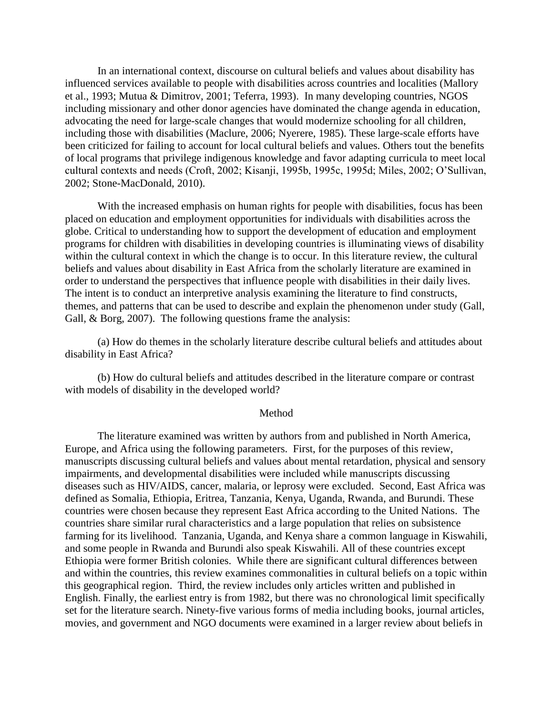In an international context, discourse on cultural beliefs and values about disability has influenced services available to people with disabilities across countries and localities (Mallory et al., 1993; Mutua & Dimitrov, 2001; Teferra, 1993). In many developing countries, NGOS including missionary and other donor agencies have dominated the change agenda in education, advocating the need for large-scale changes that would modernize schooling for all children, including those with disabilities (Maclure, 2006; Nyerere, 1985). These large-scale efforts have been criticized for failing to account for local cultural beliefs and values. Others tout the benefits of local programs that privilege indigenous knowledge and favor adapting curricula to meet local cultural contexts and needs (Croft, 2002; Kisanji, 1995b, 1995c, 1995d; Miles, 2002; O'Sullivan, 2002; Stone-MacDonald, 2010).

With the increased emphasis on human rights for people with disabilities, focus has been placed on education and employment opportunities for individuals with disabilities across the globe. Critical to understanding how to support the development of education and employment programs for children with disabilities in developing countries is illuminating views of disability within the cultural context in which the change is to occur. In this literature review, the cultural beliefs and values about disability in East Africa from the scholarly literature are examined in order to understand the perspectives that influence people with disabilities in their daily lives. The intent is to conduct an interpretive analysis examining the literature to find constructs, themes, and patterns that can be used to describe and explain the phenomenon under study (Gall, Gall, & Borg, 2007). The following questions frame the analysis:

(a) How do themes in the scholarly literature describe cultural beliefs and attitudes about disability in East Africa?

(b) How do cultural beliefs and attitudes described in the literature compare or contrast with models of disability in the developed world?

### Method

The literature examined was written by authors from and published in North America, Europe, and Africa using the following parameters. First, for the purposes of this review, manuscripts discussing cultural beliefs and values about mental retardation, physical and sensory impairments, and developmental disabilities were included while manuscripts discussing diseases such as HIV/AIDS, cancer, malaria, or leprosy were excluded. Second, East Africa was defined as Somalia, Ethiopia, Eritrea, Tanzania, Kenya, Uganda, Rwanda, and Burundi. These countries were chosen because they represent East Africa according to the United Nations. The countries share similar rural characteristics and a large population that relies on subsistence farming for its livelihood. Tanzania, Uganda, and Kenya share a common language in Kiswahili, and some people in Rwanda and Burundi also speak Kiswahili. All of these countries except Ethiopia were former British colonies. While there are significant cultural differences between and within the countries, this review examines commonalities in cultural beliefs on a topic within this geographical region. Third, the review includes only articles written and published in English. Finally, the earliest entry is from 1982, but there was no chronological limit specifically set for the literature search. Ninety-five various forms of media including books, journal articles, movies, and government and NGO documents were examined in a larger review about beliefs in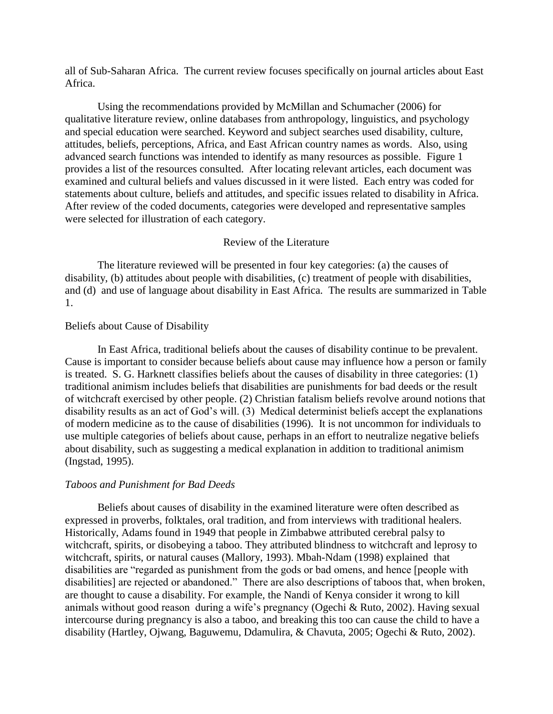all of Sub-Saharan Africa. The current review focuses specifically on journal articles about East Africa.

Using the recommendations provided by McMillan and Schumacher (2006) for qualitative literature review, online databases from anthropology, linguistics, and psychology and special education were searched. Keyword and subject searches used disability, culture, attitudes, beliefs, perceptions, Africa, and East African country names as words. Also, using advanced search functions was intended to identify as many resources as possible. Figure 1 provides a list of the resources consulted. After locating relevant articles, each document was examined and cultural beliefs and values discussed in it were listed. Each entry was coded for statements about culture, beliefs and attitudes, and specific issues related to disability in Africa. After review of the coded documents, categories were developed and representative samples were selected for illustration of each category.

# Review of the Literature

The literature reviewed will be presented in four key categories: (a) the causes of disability, (b) attitudes about people with disabilities, (c) treatment of people with disabilities, and (d) and use of language about disability in East Africa. The results are summarized in Table 1.

### Beliefs about Cause of Disability

In East Africa, traditional beliefs about the causes of disability continue to be prevalent. Cause is important to consider because beliefs about cause may influence how a person or family is treated. S. G. Harknett classifies beliefs about the causes of disability in three categories: (1) traditional animism includes beliefs that disabilities are punishments for bad deeds or the result of witchcraft exercised by other people. (2) Christian fatalism beliefs revolve around notions that disability results as an act of God's will. (3) Medical determinist beliefs accept the explanations of modern medicine as to the cause of disabilities (1996). It is not uncommon for individuals to use multiple categories of beliefs about cause, perhaps in an effort to neutralize negative beliefs about disability, such as suggesting a medical explanation in addition to traditional animism (Ingstad, 1995).

### *Taboos and Punishment for Bad Deeds*

Beliefs about causes of disability in the examined literature were often described as expressed in proverbs, folktales, oral tradition, and from interviews with traditional healers. Historically, Adams found in 1949 that people in Zimbabwe attributed cerebral palsy to witchcraft, spirits, or disobeying a taboo. They attributed blindness to witchcraft and leprosy to witchcraft, spirits, or natural causes (Mallory, 1993). Mbah-Ndam (1998) explained that disabilities are "regarded as punishment from the gods or bad omens, and hence [people with disabilities] are rejected or abandoned." There are also descriptions of taboos that, when broken, are thought to cause a disability. For example, the Nandi of Kenya consider it wrong to kill animals without good reason during a wife's pregnancy (Ogechi & Ruto, 2002). Having sexual intercourse during pregnancy is also a taboo, and breaking this too can cause the child to have a disability (Hartley, Ojwang, Baguwemu, Ddamulira, & Chavuta, 2005; Ogechi & Ruto, 2002).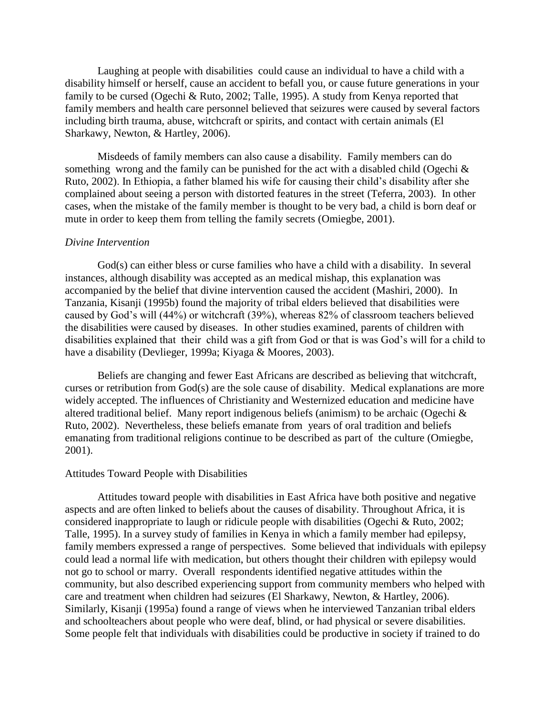Laughing at people with disabilities could cause an individual to have a child with a disability himself or herself, cause an accident to befall you, or cause future generations in your family to be cursed (Ogechi & Ruto, 2002; Talle, 1995). A study from Kenya reported that family members and health care personnel believed that seizures were caused by several factors including birth trauma, abuse, witchcraft or spirits, and contact with certain animals (El Sharkawy, Newton, & Hartley, 2006).

Misdeeds of family members can also cause a disability. Family members can do something wrong and the family can be punished for the act with a disabled child (Ogechi & Ruto, 2002). In Ethiopia, a father blamed his wife for causing their child's disability after she complained about seeing a person with distorted features in the street (Teferra, 2003). In other cases, when the mistake of the family member is thought to be very bad, a child is born deaf or mute in order to keep them from telling the family secrets (Omiegbe, 2001).

#### *Divine Intervention*

God(s) can either bless or curse families who have a child with a disability. In several instances, although disability was accepted as an medical mishap, this explanation was accompanied by the belief that divine intervention caused the accident (Mashiri, 2000). In Tanzania, Kisanji (1995b) found the majority of tribal elders believed that disabilities were caused by God's will (44%) or witchcraft (39%), whereas 82% of classroom teachers believed the disabilities were caused by diseases. In other studies examined, parents of children with disabilities explained that their child was a gift from God or that is was God's will for a child to have a disability (Devlieger, 1999a; Kiyaga & Moores, 2003).

Beliefs are changing and fewer East Africans are described as believing that witchcraft, curses or retribution from God(s) are the sole cause of disability. Medical explanations are more widely accepted. The influences of Christianity and Westernized education and medicine have altered traditional belief. Many report indigenous beliefs (animism) to be archaic (Ogechi & Ruto, 2002). Nevertheless, these beliefs emanate from years of oral tradition and beliefs emanating from traditional religions continue to be described as part of the culture (Omiegbe, 2001).

## Attitudes Toward People with Disabilities

Attitudes toward people with disabilities in East Africa have both positive and negative aspects and are often linked to beliefs about the causes of disability. Throughout Africa, it is considered inappropriate to laugh or ridicule people with disabilities (Ogechi & Ruto, 2002; Talle, 1995). In a survey study of families in Kenya in which a family member had epilepsy, family members expressed a range of perspectives. Some believed that individuals with epilepsy could lead a normal life with medication, but others thought their children with epilepsy would not go to school or marry. Overall respondents identified negative attitudes within the community, but also described experiencing support from community members who helped with care and treatment when children had seizures (El Sharkawy, Newton, & Hartley, 2006). Similarly, Kisanji (1995a) found a range of views when he interviewed Tanzanian tribal elders and schoolteachers about people who were deaf, blind, or had physical or severe disabilities. Some people felt that individuals with disabilities could be productive in society if trained to do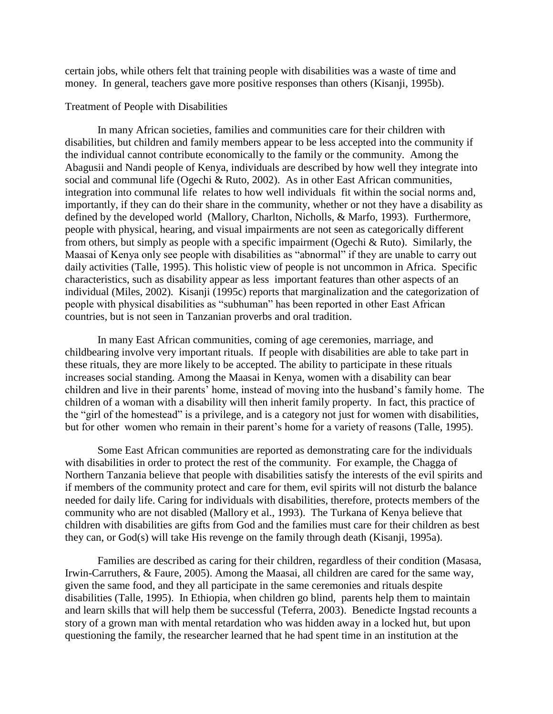certain jobs, while others felt that training people with disabilities was a waste of time and money. In general, teachers gave more positive responses than others (Kisanji, 1995b).

### Treatment of People with Disabilities

In many African societies, families and communities care for their children with disabilities, but children and family members appear to be less accepted into the community if the individual cannot contribute economically to the family or the community. Among the Abagusii and Nandi people of Kenya, individuals are described by how well they integrate into social and communal life (Ogechi & Ruto, 2002). As in other East African communities, integration into communal life relates to how well individuals fit within the social norms and, importantly, if they can do their share in the community, whether or not they have a disability as defined by the developed world (Mallory, Charlton, Nicholls, & Marfo, 1993). Furthermore, people with physical, hearing, and visual impairments are not seen as categorically different from others, but simply as people with a specific impairment (Ogechi & Ruto). Similarly, the Maasai of Kenya only see people with disabilities as "abnormal" if they are unable to carry out daily activities (Talle, 1995). This holistic view of people is not uncommon in Africa. Specific characteristics, such as disability appear as less important features than other aspects of an individual (Miles, 2002). Kisanji (1995c) reports that marginalization and the categorization of people with physical disabilities as "subhuman" has been reported in other East African countries, but is not seen in Tanzanian proverbs and oral tradition.

In many East African communities, coming of age ceremonies, marriage, and childbearing involve very important rituals. If people with disabilities are able to take part in these rituals, they are more likely to be accepted. The ability to participate in these rituals increases social standing. Among the Maasai in Kenya, women with a disability can bear children and live in their parents' home, instead of moving into the husband's family home. The children of a woman with a disability will then inherit family property. In fact, this practice of the "girl of the homestead" is a privilege, and is a category not just for women with disabilities, but for other women who remain in their parent's home for a variety of reasons (Talle, 1995).

Some East African communities are reported as demonstrating care for the individuals with disabilities in order to protect the rest of the community. For example, the Chagga of Northern Tanzania believe that people with disabilities satisfy the interests of the evil spirits and if members of the community protect and care for them, evil spirits will not disturb the balance needed for daily life. Caring for individuals with disabilities, therefore, protects members of the community who are not disabled (Mallory et al., 1993). The Turkana of Kenya believe that children with disabilities are gifts from God and the families must care for their children as best they can, or God(s) will take His revenge on the family through death (Kisanji, 1995a).

Families are described as caring for their children, regardless of their condition (Masasa, Irwin-Carruthers, & Faure, 2005). Among the Maasai, all children are cared for the same way, given the same food, and they all participate in the same ceremonies and rituals despite disabilities (Talle, 1995). In Ethiopia, when children go blind, parents help them to maintain and learn skills that will help them be successful (Teferra, 2003). Benedicte Ingstad recounts a story of a grown man with mental retardation who was hidden away in a locked hut, but upon questioning the family, the researcher learned that he had spent time in an institution at the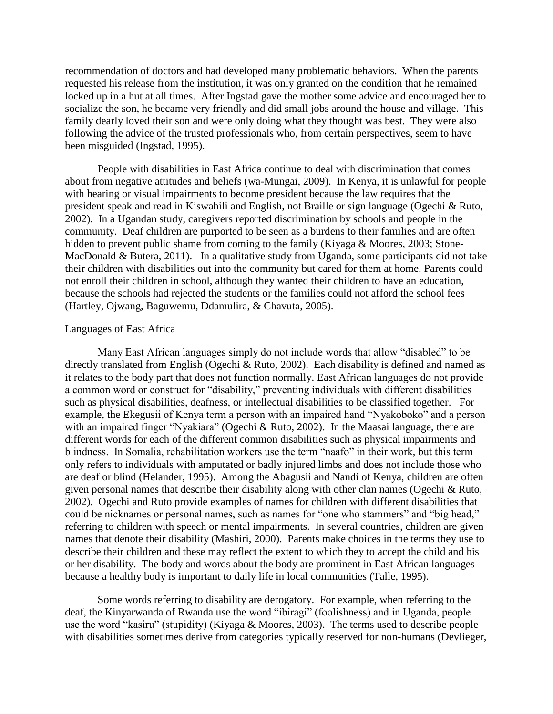recommendation of doctors and had developed many problematic behaviors. When the parents requested his release from the institution, it was only granted on the condition that he remained locked up in a hut at all times. After Ingstad gave the mother some advice and encouraged her to socialize the son, he became very friendly and did small jobs around the house and village. This family dearly loved their son and were only doing what they thought was best. They were also following the advice of the trusted professionals who, from certain perspectives, seem to have been misguided (Ingstad, 1995).

People with disabilities in East Africa continue to deal with discrimination that comes about from negative attitudes and beliefs (wa-Mungai, 2009). In Kenya, it is unlawful for people with hearing or visual impairments to become president because the law requires that the president speak and read in Kiswahili and English, not Braille or sign language (Ogechi & Ruto, 2002). In a Ugandan study, caregivers reported discrimination by schools and people in the community. Deaf children are purported to be seen as a burdens to their families and are often hidden to prevent public shame from coming to the family (Kiyaga & Moores, 2003; Stone-MacDonald & Butera, 2011). In a qualitative study from Uganda, some participants did not take their children with disabilities out into the community but cared for them at home. Parents could not enroll their children in school, although they wanted their children to have an education, because the schools had rejected the students or the families could not afford the school fees (Hartley, Ojwang, Baguwemu, Ddamulira, & Chavuta, 2005).

## Languages of East Africa

Many East African languages simply do not include words that allow "disabled" to be directly translated from English (Ogechi & Ruto, 2002). Each disability is defined and named as it relates to the body part that does not function normally. East African languages do not provide a common word or construct for "disability," preventing individuals with different disabilities such as physical disabilities, deafness, or intellectual disabilities to be classified together. For example, the Ekegusii of Kenya term a person with an impaired hand "Nyakoboko" and a person with an impaired finger "Nyakiara" (Ogechi & Ruto, 2002). In the Maasai language, there are different words for each of the different common disabilities such as physical impairments and blindness. In Somalia, rehabilitation workers use the term "naafo" in their work, but this term only refers to individuals with amputated or badly injured limbs and does not include those who are deaf or blind (Helander, 1995). Among the Abagusii and Nandi of Kenya, children are often given personal names that describe their disability along with other clan names (Ogechi & Ruto, 2002). Ogechi and Ruto provide examples of names for children with different disabilities that could be nicknames or personal names, such as names for "one who stammers" and "big head," referring to children with speech or mental impairments. In several countries, children are given names that denote their disability (Mashiri, 2000). Parents make choices in the terms they use to describe their children and these may reflect the extent to which they to accept the child and his or her disability. The body and words about the body are prominent in East African languages because a healthy body is important to daily life in local communities (Talle, 1995).

Some words referring to disability are derogatory. For example, when referring to the deaf, the Kinyarwanda of Rwanda use the word "ibiragi" (foolishness) and in Uganda, people use the word "kasiru" (stupidity) (Kiyaga & Moores, 2003). The terms used to describe people with disabilities sometimes derive from categories typically reserved for non-humans (Devlieger,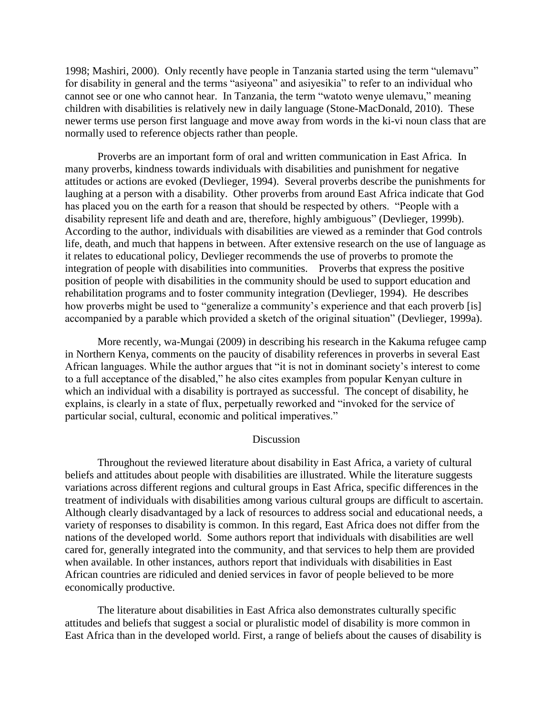1998; Mashiri, 2000). Only recently have people in Tanzania started using the term "ulemavu" for disability in general and the terms "asiyeona" and asiyesikia" to refer to an individual who cannot see or one who cannot hear. In Tanzania, the term "watoto wenye ulemavu," meaning children with disabilities is relatively new in daily language (Stone-MacDonald, 2010). These newer terms use person first language and move away from words in the ki-vi noun class that are normally used to reference objects rather than people.

Proverbs are an important form of oral and written communication in East Africa. In many proverbs, kindness towards individuals with disabilities and punishment for negative attitudes or actions are evoked (Devlieger, 1994). Several proverbs describe the punishments for laughing at a person with a disability. Other proverbs from around East Africa indicate that God has placed you on the earth for a reason that should be respected by others. "People with a disability represent life and death and are, therefore, highly ambiguous" (Devlieger, 1999b). According to the author, individuals with disabilities are viewed as a reminder that God controls life, death, and much that happens in between. After extensive research on the use of language as it relates to educational policy, Devlieger recommends the use of proverbs to promote the integration of people with disabilities into communities. Proverbs that express the positive position of people with disabilities in the community should be used to support education and rehabilitation programs and to foster community integration (Devlieger, 1994). He describes how proverbs might be used to "generalize a community's experience and that each proverb [is] accompanied by a parable which provided a sketch of the original situation" (Devlieger, 1999a).

More recently, wa-Mungai (2009) in describing his research in the Kakuma refugee camp in Northern Kenya, comments on the paucity of disability references in proverbs in several East African languages. While the author argues that "it is not in dominant society's interest to come to a full acceptance of the disabled," he also cites examples from popular Kenyan culture in which an individual with a disability is portrayed as successful. The concept of disability, he explains, is clearly in a state of flux, perpetually reworked and "invoked for the service of particular social, cultural, economic and political imperatives."

# **Discussion**

Throughout the reviewed literature about disability in East Africa, a variety of cultural beliefs and attitudes about people with disabilities are illustrated. While the literature suggests variations across different regions and cultural groups in East Africa, specific differences in the treatment of individuals with disabilities among various cultural groups are difficult to ascertain. Although clearly disadvantaged by a lack of resources to address social and educational needs, a variety of responses to disability is common. In this regard, East Africa does not differ from the nations of the developed world. Some authors report that individuals with disabilities are well cared for, generally integrated into the community, and that services to help them are provided when available. In other instances, authors report that individuals with disabilities in East African countries are ridiculed and denied services in favor of people believed to be more economically productive.

The literature about disabilities in East Africa also demonstrates culturally specific attitudes and beliefs that suggest a social or pluralistic model of disability is more common in East Africa than in the developed world. First, a range of beliefs about the causes of disability is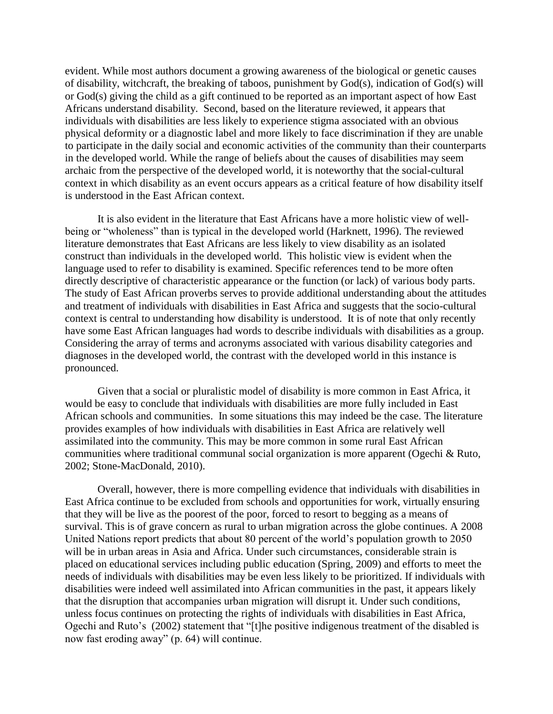evident. While most authors document a growing awareness of the biological or genetic causes of disability, witchcraft, the breaking of taboos, punishment by God(s), indication of God(s) will or God(s) giving the child as a gift continued to be reported as an important aspect of how East Africans understand disability. Second, based on the literature reviewed, it appears that individuals with disabilities are less likely to experience stigma associated with an obvious physical deformity or a diagnostic label and more likely to face discrimination if they are unable to participate in the daily social and economic activities of the community than their counterparts in the developed world. While the range of beliefs about the causes of disabilities may seem archaic from the perspective of the developed world, it is noteworthy that the social-cultural context in which disability as an event occurs appears as a critical feature of how disability itself is understood in the East African context.

It is also evident in the literature that East Africans have a more holistic view of wellbeing or "wholeness" than is typical in the developed world (Harknett, 1996). The reviewed literature demonstrates that East Africans are less likely to view disability as an isolated construct than individuals in the developed world. This holistic view is evident when the language used to refer to disability is examined. Specific references tend to be more often directly descriptive of characteristic appearance or the function (or lack) of various body parts. The study of East African proverbs serves to provide additional understanding about the attitudes and treatment of individuals with disabilities in East Africa and suggests that the socio-cultural context is central to understanding how disability is understood. It is of note that only recently have some East African languages had words to describe individuals with disabilities as a group. Considering the array of terms and acronyms associated with various disability categories and diagnoses in the developed world, the contrast with the developed world in this instance is pronounced.

Given that a social or pluralistic model of disability is more common in East Africa, it would be easy to conclude that individuals with disabilities are more fully included in East African schools and communities. In some situations this may indeed be the case. The literature provides examples of how individuals with disabilities in East Africa are relatively well assimilated into the community. This may be more common in some rural East African communities where traditional communal social organization is more apparent (Ogechi & Ruto, 2002; Stone-MacDonald, 2010).

Overall, however, there is more compelling evidence that individuals with disabilities in East Africa continue to be excluded from schools and opportunities for work, virtually ensuring that they will be live as the poorest of the poor, forced to resort to begging as a means of survival. This is of grave concern as rural to urban migration across the globe continues. A 2008 United Nations report predicts that about 80 percent of the world's population growth to 2050 will be in urban areas in Asia and Africa. Under such circumstances, considerable strain is placed on educational services including public education (Spring, 2009) and efforts to meet the needs of individuals with disabilities may be even less likely to be prioritized. If individuals with disabilities were indeed well assimilated into African communities in the past, it appears likely that the disruption that accompanies urban migration will disrupt it. Under such conditions, unless focus continues on protecting the rights of individuals with disabilities in East Africa, Ogechi and Ruto's (2002) statement that "[t]he positive indigenous treatment of the disabled is now fast eroding away" (p. 64) will continue.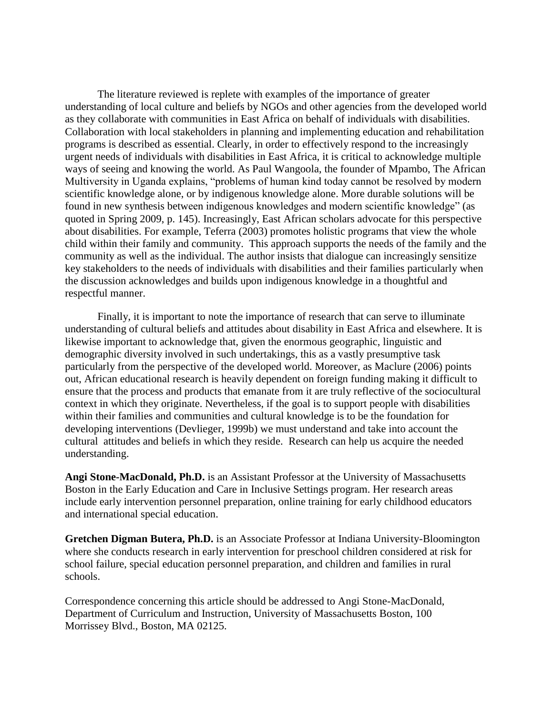The literature reviewed is replete with examples of the importance of greater understanding of local culture and beliefs by NGOs and other agencies from the developed world as they collaborate with communities in East Africa on behalf of individuals with disabilities. Collaboration with local stakeholders in planning and implementing education and rehabilitation programs is described as essential. Clearly, in order to effectively respond to the increasingly urgent needs of individuals with disabilities in East Africa, it is critical to acknowledge multiple ways of seeing and knowing the world. As Paul Wangoola, the founder of Mpambo, The African Multiversity in Uganda explains, "problems of human kind today cannot be resolved by modern scientific knowledge alone, or by indigenous knowledge alone. More durable solutions will be found in new synthesis between indigenous knowledges and modern scientific knowledge" (as quoted in Spring 2009, p. 145). Increasingly, East African scholars advocate for this perspective about disabilities. For example, Teferra (2003) promotes holistic programs that view the whole child within their family and community. This approach supports the needs of the family and the community as well as the individual. The author insists that dialogue can increasingly sensitize key stakeholders to the needs of individuals with disabilities and their families particularly when the discussion acknowledges and builds upon indigenous knowledge in a thoughtful and respectful manner.

Finally, it is important to note the importance of research that can serve to illuminate understanding of cultural beliefs and attitudes about disability in East Africa and elsewhere. It is likewise important to acknowledge that, given the enormous geographic, linguistic and demographic diversity involved in such undertakings, this as a vastly presumptive task particularly from the perspective of the developed world. Moreover, as Maclure (2006) points out, African educational research is heavily dependent on foreign funding making it difficult to ensure that the process and products that emanate from it are truly reflective of the sociocultural context in which they originate. Nevertheless, if the goal is to support people with disabilities within their families and communities and cultural knowledge is to be the foundation for developing interventions (Devlieger, 1999b) we must understand and take into account the cultural attitudes and beliefs in which they reside. Research can help us acquire the needed understanding.

**Angi Stone-MacDonald, Ph.D.** is an Assistant Professor at the University of Massachusetts Boston in the Early Education and Care in Inclusive Settings program. Her research areas include early intervention personnel preparation, online training for early childhood educators and international special education.

**Gretchen Digman Butera, Ph.D.** is an Associate Professor at Indiana University-Bloomington where she conducts research in early intervention for preschool children considered at risk for school failure, special education personnel preparation, and children and families in rural schools.

Correspondence concerning this article should be addressed to Angi Stone-MacDonald, Department of Curriculum and Instruction, University of Massachusetts Boston, 100 Morrissey Blvd., Boston, MA 02125.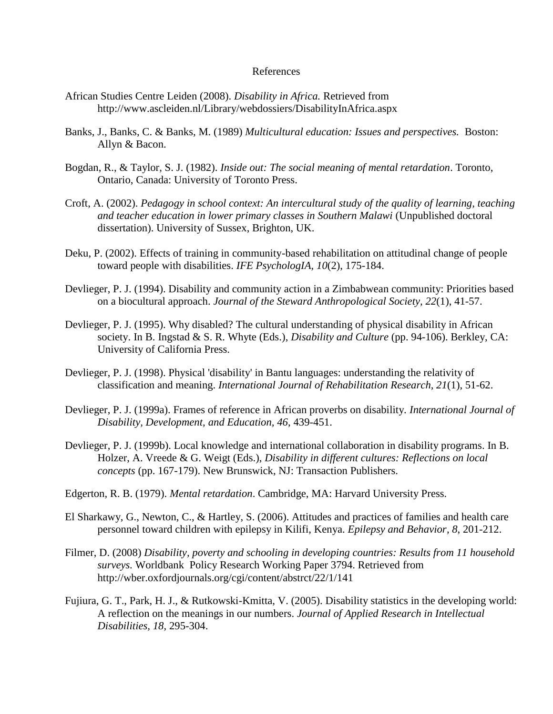### References

- African Studies Centre Leiden (2008). *Disability in Africa.* Retrieved from http://www.ascleiden.nl/Library/webdossiers/DisabilityInAfrica.aspx
- Banks, J., Banks, C. & Banks, M. (1989) *Multicultural education: Issues and perspectives.* Boston: Allyn & Bacon.
- Bogdan, R., & Taylor, S. J. (1982). *Inside out: The social meaning of mental retardation*. Toronto, Ontario, Canada: University of Toronto Press.
- Croft, A. (2002). *Pedagogy in school context: An intercultural study of the quality of learning, teaching and teacher education in lower primary classes in Southern Malawi* (Unpublished doctoral dissertation). University of Sussex, Brighton, UK.
- Deku, P. (2002). Effects of training in community-based rehabilitation on attitudinal change of people toward people with disabilities. *IFE PsychologIA, 10*(2), 175-184.
- Devlieger, P. J. (1994). Disability and community action in a Zimbabwean community: Priorities based on a biocultural approach. *Journal of the Steward Anthropological Society, 22*(1), 41-57.
- Devlieger, P. J. (1995). Why disabled? The cultural understanding of physical disability in African society. In B. Ingstad & S. R. Whyte (Eds.), *Disability and Culture* (pp. 94-106). Berkley, CA: University of California Press.
- Devlieger, P. J. (1998). Physical 'disability' in Bantu languages: understanding the relativity of classification and meaning. *International Journal of Rehabilitation Research, 21*(1), 51-62.
- Devlieger, P. J. (1999a). Frames of reference in African proverbs on disability. *International Journal of Disability, Development, and Education, 46*, 439-451.
- Devlieger, P. J. (1999b). Local knowledge and international collaboration in disability programs. In B. Holzer, A. Vreede & G. Weigt (Eds.), *Disability in different cultures: Reflections on local concepts* (pp. 167-179). New Brunswick, NJ: Transaction Publishers.
- Edgerton, R. B. (1979). *Mental retardation*. Cambridge, MA: Harvard University Press.
- El Sharkawy, G., Newton, C., & Hartley, S. (2006). Attitudes and practices of families and health care personnel toward children with epilepsy in Kilifi, Kenya. *Epilepsy and Behavior, 8*, 201-212.
- Filmer, D. (2008) *Disability, poverty and schooling in developing countries: Results from 11 household surveys.* Worldbank Policy Research Working Paper 3794. Retrieved from http://wber.oxfordjournals.org/cgi/content/abstrct/22/1/141
- Fujiura, G. T., Park, H. J., & Rutkowski-Kmitta, V. (2005). Disability statistics in the developing world: A reflection on the meanings in our numbers. *Journal of Applied Research in Intellectual Disabilities, 18*, 295-304.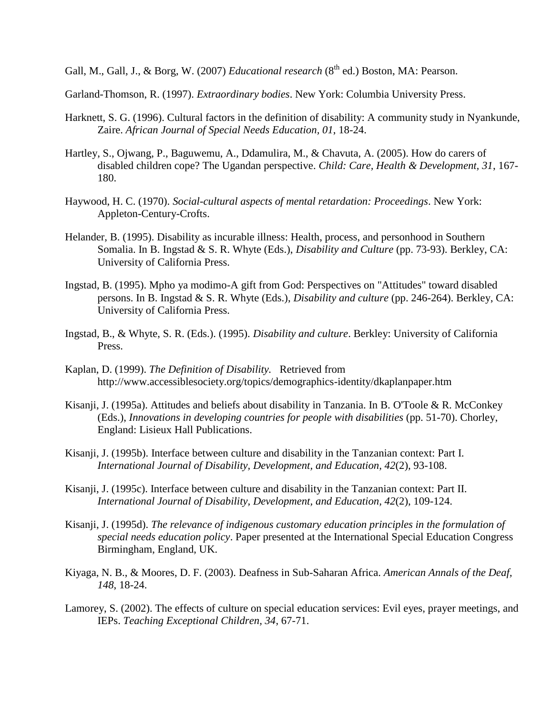Gall, M., Gall, J., & Borg, W. (2007) *Educational research* (8<sup>th</sup> ed.) Boston, MA: Pearson.

Garland-Thomson, R. (1997). *Extraordinary bodies*. New York: Columbia University Press.

- Harknett, S. G. (1996). Cultural factors in the definition of disability: A community study in Nyankunde, Zaire. *African Journal of Special Needs Education, 01*, 18-24.
- Hartley, S., Ojwang, P., Baguwemu, A., Ddamulira, M., & Chavuta, A. (2005). How do carers of disabled children cope? The Ugandan perspective. *Child: Care, Health & Development, 31*, 167- 180.
- Haywood, H. C. (1970). *Social-cultural aspects of mental retardation: Proceedings*. New York: Appleton-Century-Crofts.
- Helander, B. (1995). Disability as incurable illness: Health, process, and personhood in Southern Somalia. In B. Ingstad & S. R. Whyte (Eds.), *Disability and Culture* (pp. 73-93). Berkley, CA: University of California Press.
- Ingstad, B. (1995). Mpho ya modimo-A gift from God: Perspectives on "Attitudes" toward disabled persons. In B. Ingstad & S. R. Whyte (Eds.), *Disability and culture* (pp. 246-264). Berkley, CA: University of California Press.
- Ingstad, B., & Whyte, S. R. (Eds.). (1995). *Disability and culture*. Berkley: University of California Press.
- Kaplan, D. (1999). *The Definition of Disability.* Retrieved from http://www.accessiblesociety.org/topics/demographics-identity/dkaplanpaper.htm
- Kisanji, J. (1995a). Attitudes and beliefs about disability in Tanzania. In B. O'Toole & R. McConkey (Eds.), *Innovations in developing countries for people with disabilities* (pp. 51-70). Chorley, England: Lisieux Hall Publications.
- Kisanji, J. (1995b). Interface between culture and disability in the Tanzanian context: Part I. *International Journal of Disability, Development, and Education, 42*(2), 93-108.
- Kisanji, J. (1995c). Interface between culture and disability in the Tanzanian context: Part II. *International Journal of Disability, Development, and Education, 42*(2), 109-124.
- Kisanji, J. (1995d). *The relevance of indigenous customary education principles in the formulation of special needs education policy*. Paper presented at the International Special Education Congress Birmingham, England, UK.
- Kiyaga, N. B., & Moores, D. F. (2003). Deafness in Sub-Saharan Africa. *American Annals of the Deaf, 148*, 18-24.
- Lamorey, S. (2002). The effects of culture on special education services: Evil eyes, prayer meetings, and IEPs. *Teaching Exceptional Children, 34*, 67-71.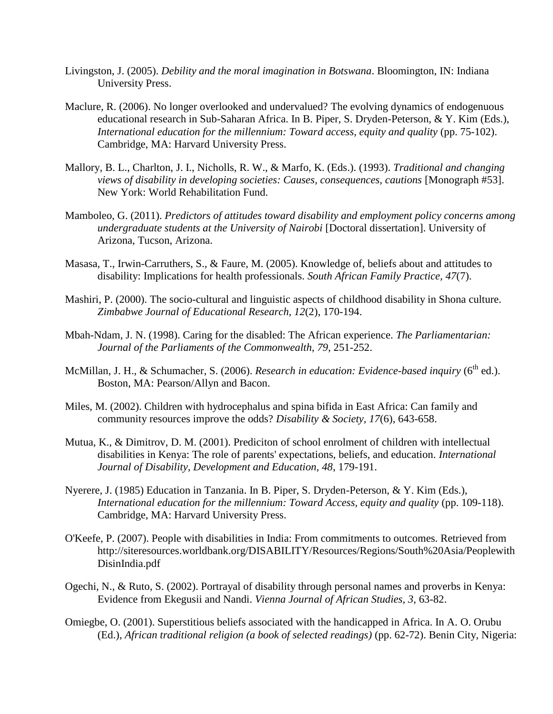- Livingston, J. (2005). *Debility and the moral imagination in Botswana*. Bloomington, IN: Indiana University Press.
- Maclure, R. (2006). No longer overlooked and undervalued? The evolving dynamics of endogenuous educational research in Sub-Saharan Africa. In B. Piper, S. Dryden-Peterson, & Y. Kim (Eds.), *International education for the millennium: Toward access, equity and quality* (pp. 75-102). Cambridge, MA: Harvard University Press.
- Mallory, B. L., Charlton, J. I., Nicholls, R. W., & Marfo, K. (Eds.). (1993). *Traditional and changing views of disability in developing societies: Causes, consequences, cautions* [Monograph #53]. New York: World Rehabilitation Fund.
- Mamboleo, G. (2011). *Predictors of attitudes toward disability and employment policy concerns among undergraduate students at the University of Nairobi* [Doctoral dissertation]. University of Arizona, Tucson, Arizona.
- Masasa, T., Irwin-Carruthers, S., & Faure, M. (2005). Knowledge of, beliefs about and attitudes to disability: Implications for health professionals. *South African Family Practice, 47*(7).
- Mashiri, P. (2000). The socio-cultural and linguistic aspects of childhood disability in Shona culture. *Zimbabwe Journal of Educational Research, 12*(2), 170-194.
- Mbah-Ndam, J. N. (1998). Caring for the disabled: The African experience. *The Parliamentarian: Journal of the Parliaments of the Commonwealth, 79*, 251-252.
- McMillan, J. H., & Schumacher, S. (2006). *Research in education: Evidence-based inquiry* (6<sup>th</sup> ed.). Boston, MA: Pearson/Allyn and Bacon.
- Miles, M. (2002). Children with hydrocephalus and spina bifida in East Africa: Can family and community resources improve the odds? *Disability & Society, 17*(6), 643-658.
- Mutua, K., & Dimitrov, D. M. (2001). Prediciton of school enrolment of children with intellectual disabilities in Kenya: The role of parents' expectations, beliefs, and education. *International Journal of Disability, Development and Education, 48*, 179-191.
- Nyerere, J. (1985) Education in Tanzania. In B. Piper, S. Dryden-Peterson, & Y. Kim (Eds.), *International education for the millennium: Toward Access, equity and quality* (pp. 109-118). Cambridge, MA: Harvard University Press.
- O'Keefe, P. (2007). People with disabilities in India: From commitments to outcomes. Retrieved from http://siteresources.worldbank.org/DISABILITY/Resources/Regions/South%20Asia/Peoplewith DisinIndia.pdf
- Ogechi, N., & Ruto, S. (2002). Portrayal of disability through personal names and proverbs in Kenya: Evidence from Ekegusii and Nandi. *Vienna Journal of African Studies, 3*, 63-82.
- Omiegbe, O. (2001). Superstitious beliefs associated with the handicapped in Africa. In A. O. Orubu (Ed.), *African traditional religion (a book of selected readings)* (pp. 62-72). Benin City, Nigeria: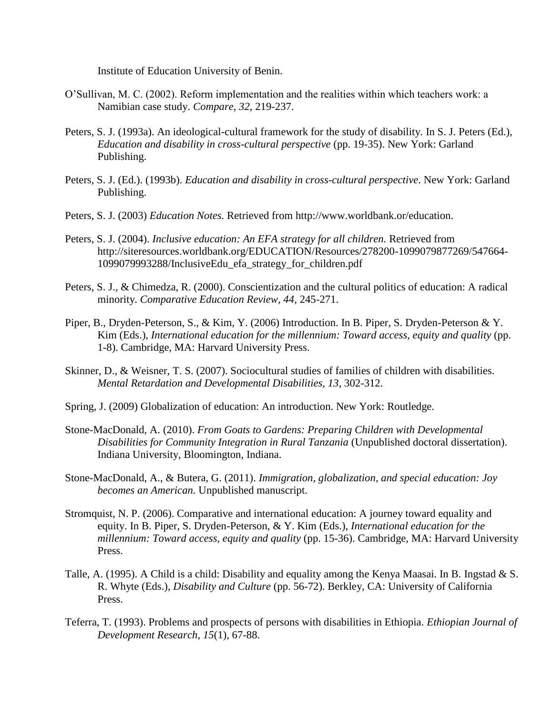Institute of Education University of Benin.

- O'Sullivan, M. C. (2002). Reform implementation and the realities within which teachers work: a Namibian case study. *Compare, 32*, 219-237.
- Peters, S. J. (1993a). An ideological-cultural framework for the study of disability. In S. J. Peters (Ed.), *Education and disability in cross-cultural perspective* (pp. 19-35). New York: Garland Publishing.
- Peters, S. J. (Ed.). (1993b). *Education and disability in cross-cultural perspective*. New York: Garland Publishing.
- Peters, S. J. (2003) *Education Notes.* Retrieved from http://www.worldbank.or/education.
- Peters, S. J. (2004). *Inclusive education: An EFA strategy for all children.* Retrieved from http://siteresources.worldbank.org/EDUCATION/Resources/278200-1099079877269/547664- 1099079993288/InclusiveEdu\_efa\_strategy\_for\_children.pdf
- Peters, S. J., & Chimedza, R. (2000). Conscientization and the cultural politics of education: A radical minority. *Comparative Education Review, 44*, 245-271.
- Piper, B., Dryden-Peterson, S., & Kim, Y. (2006) Introduction. In B. Piper, S. Dryden-Peterson & Y. Kim (Eds.), *International education for the millennium: Toward access, equity and quality* (pp. 1-8). Cambridge, MA: Harvard University Press.
- Skinner, D., & Weisner, T. S. (2007). Sociocultural studies of families of children with disabilities. *Mental Retardation and Developmental Disabilities, 13*, 302-312.
- Spring, J. (2009) Globalization of education: An introduction. New York: Routledge.
- Stone-MacDonald, A. (2010). *From Goats to Gardens: Preparing Children with Developmental Disabilities for Community Integration in Rural Tanzania* (Unpublished doctoral dissertation). Indiana University, Bloomington, Indiana.
- Stone-MacDonald, A., & Butera, G. (2011). *Immigration, globalization, and special education: Joy becomes an American.* Unpublished manuscript.
- Stromquist, N. P. (2006). Comparative and international education: A journey toward equality and equity. In B. Piper, S. Dryden-Peterson, & Y. Kim (Eds.), *International education for the millennium: Toward access, equity and quality* (pp. 15-36). Cambridge, MA: Harvard University Press.
- Talle, A. (1995). A Child is a child: Disability and equality among the Kenya Maasai. In B. Ingstad & S. R. Whyte (Eds.), *Disability and Culture* (pp. 56-72). Berkley, CA: University of California Press.
- Teferra, T. (1993). Problems and prospects of persons with disabilities in Ethiopia. *Ethiopian Journal of Development Research, 15*(1), 67-88.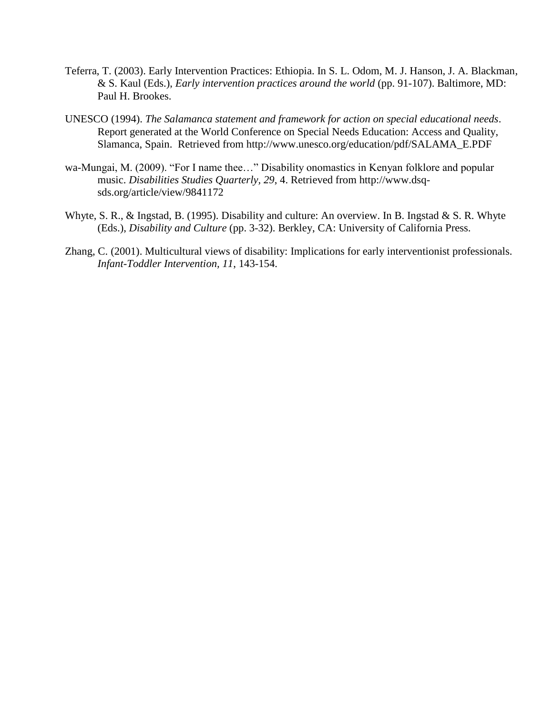- Teferra, T. (2003). Early Intervention Practices: Ethiopia. In S. L. Odom, M. J. Hanson, J. A. Blackman, & S. Kaul (Eds.), *Early intervention practices around the world* (pp. 91-107). Baltimore, MD: Paul H. Brookes.
- UNESCO (1994). *The Salamanca statement and framework for action on special educational needs*. Report generated at the World Conference on Special Needs Education: Access and Quality, Slamanca, Spain. Retrieved from http://www.unesco.org/education/pdf/SALAMA\_E.PDF
- wa-Mungai, M. (2009). "For I name thee…" Disability onomastics in Kenyan folklore and popular music. *Disabilities Studies Quarterly, 29*, 4. Retrieved from http://www.dsqsds.org/article/view/9841172
- Whyte, S. R., & Ingstad, B. (1995). Disability and culture: An overview. In B. Ingstad & S. R. Whyte (Eds.), *Disability and Culture* (pp. 3-32). Berkley, CA: University of California Press.
- Zhang, C. (2001). Multicultural views of disability: Implications for early interventionist professionals. *Infant-Toddler Intervention, 11*, 143-154.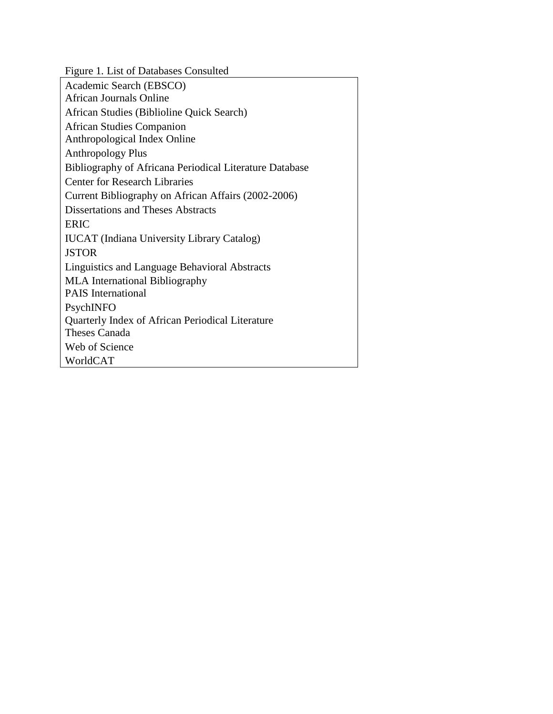Figure 1*.* List of Databases Consulted

| Academic Search (EBSCO)                                 |
|---------------------------------------------------------|
| <b>African Journals Online</b>                          |
| African Studies (Biblioline Quick Search)               |
| <b>African Studies Companion</b>                        |
| Anthropological Index Online                            |
| <b>Anthropology Plus</b>                                |
| Bibliography of Africana Periodical Literature Database |
| <b>Center for Research Libraries</b>                    |
| Current Bibliography on African Affairs (2002-2006)     |
| <b>Dissertations and Theses Abstracts</b>               |
| <b>ERIC</b>                                             |
| <b>IUCAT</b> (Indiana University Library Catalog)       |
| <b>JSTOR</b>                                            |
| Linguistics and Language Behavioral Abstracts           |
| <b>MLA</b> International Bibliography                   |
| <b>PAIS</b> International                               |
| PsychINFO                                               |
| Quarterly Index of African Periodical Literature        |
| Theses Canada                                           |
| Web of Science                                          |
| WorldCAT                                                |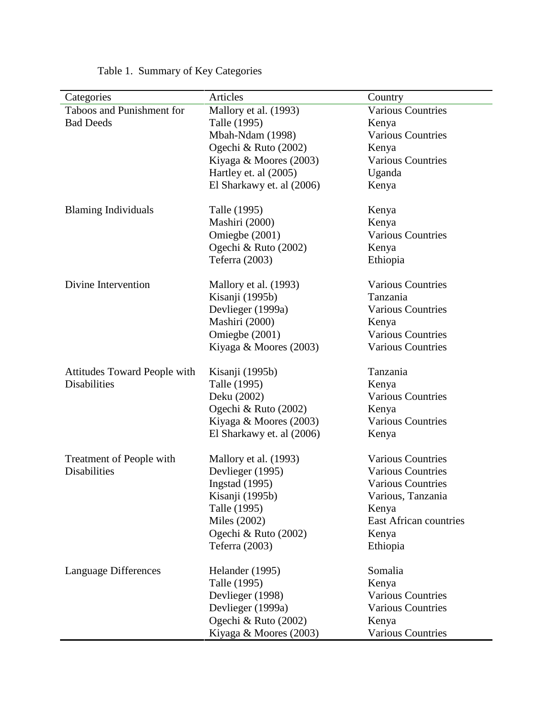| Categories                   | Articles                  | Country                       |
|------------------------------|---------------------------|-------------------------------|
| Taboos and Punishment for    | Mallory et al. (1993)     | <b>Various Countries</b>      |
| <b>Bad Deeds</b>             | Talle (1995)              | Kenya                         |
|                              | Mbah-Ndam (1998)          | <b>Various Countries</b>      |
|                              | Ogechi & Ruto $(2002)$    | Kenya                         |
|                              | Kiyaga & Moores (2003)    | <b>Various Countries</b>      |
|                              | Hartley et. al (2005)     | Uganda                        |
|                              | El Sharkawy et. al (2006) | Kenya                         |
|                              |                           |                               |
| <b>Blaming Individuals</b>   | Talle (1995)              | Kenya                         |
|                              | Mashiri (2000)            | Kenya                         |
|                              | Omiegbe (2001)            | <b>Various Countries</b>      |
|                              | Ogechi & Ruto (2002)      | Kenya                         |
|                              | Teferra (2003)            | Ethiopia                      |
|                              |                           |                               |
| Divine Intervention          | Mallory et al. (1993)     | <b>Various Countries</b>      |
|                              | Kisanji (1995b)           | Tanzania                      |
|                              | Devlieger (1999a)         | <b>Various Countries</b>      |
|                              | Mashiri (2000)            | Kenya                         |
|                              | Omiegbe (2001)            | <b>Various Countries</b>      |
|                              | Kiyaga & Moores (2003)    | <b>Various Countries</b>      |
|                              |                           |                               |
| Attitudes Toward People with | Kisanji (1995b)           | Tanzania                      |
| <b>Disabilities</b>          | Talle (1995)              | Kenya                         |
|                              | Deku (2002)               | <b>Various Countries</b>      |
|                              | Ogechi & Ruto (2002)      | Kenya                         |
|                              | Kiyaga & Moores (2003)    | <b>Various Countries</b>      |
|                              | El Sharkawy et. al (2006) | Kenya                         |
| Treatment of People with     | Mallory et al. (1993)     | <b>Various Countries</b>      |
| <b>Disabilities</b>          | Devlieger (1995)          | <b>Various Countries</b>      |
|                              | Ingstad $(1995)$          | <b>Various Countries</b>      |
|                              | Kisanji (1995b)           | Various, Tanzania             |
|                              | Talle (1995)              | Kenya                         |
|                              | Miles (2002)              | <b>East African countries</b> |
|                              | Ogechi & Ruto (2002)      | Kenya                         |
|                              | Teferra (2003)            | Ethiopia                      |
|                              |                           |                               |
| Language Differences         | Helander (1995)           | Somalia                       |
|                              | Talle (1995)              | Kenya                         |
|                              | Devlieger (1998)          | <b>Various Countries</b>      |
|                              | Devlieger (1999a)         | <b>Various Countries</b>      |
|                              | Ogechi & Ruto (2002)      | Kenya                         |
|                              | Kiyaga & Moores (2003)    | <b>Various Countries</b>      |

Table 1. Summary of Key Categories